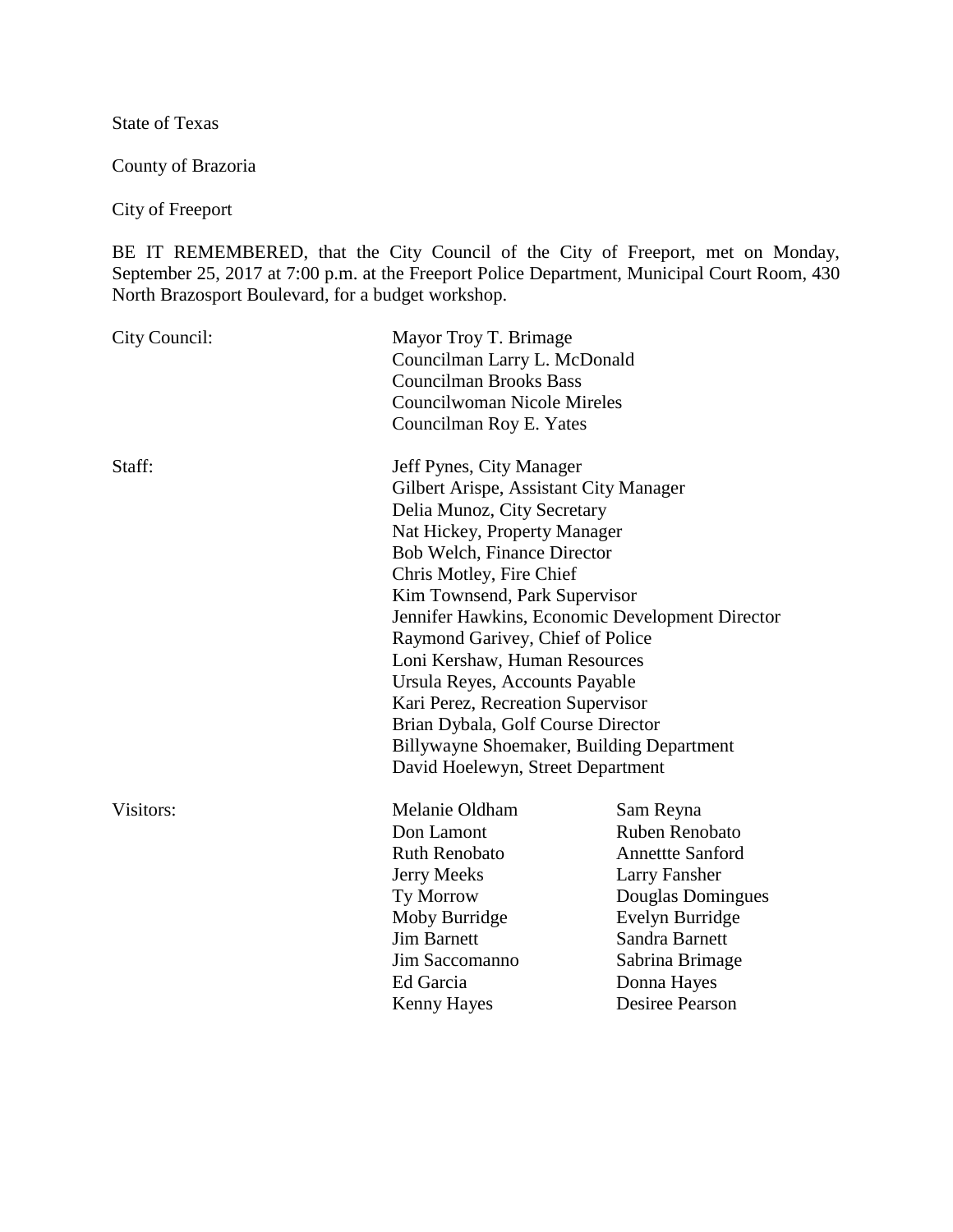State of Texas

County of Brazoria

City of Freeport

BE IT REMEMBERED, that the City Council of the City of Freeport, met on Monday, September 25, 2017 at 7:00 p.m. at the Freeport Police Department, Municipal Court Room, 430 North Brazosport Boulevard, for a budget workshop.

| City Council: | Mayor Troy T. Brimage<br>Councilman Larry L. McDonald<br><b>Councilman Brooks Bass</b><br><b>Councilwoman Nicole Mireles</b><br>Councilman Roy E. Yates                                                                                                                                                                                                                                                                                                                                                                                              |                                                                                                                                                                                                      |
|---------------|------------------------------------------------------------------------------------------------------------------------------------------------------------------------------------------------------------------------------------------------------------------------------------------------------------------------------------------------------------------------------------------------------------------------------------------------------------------------------------------------------------------------------------------------------|------------------------------------------------------------------------------------------------------------------------------------------------------------------------------------------------------|
| Staff:        | Jeff Pynes, City Manager<br>Gilbert Arispe, Assistant City Manager<br>Delia Munoz, City Secretary<br>Nat Hickey, Property Manager<br>Bob Welch, Finance Director<br>Chris Motley, Fire Chief<br>Kim Townsend, Park Supervisor<br>Jennifer Hawkins, Economic Development Director<br>Raymond Garivey, Chief of Police<br>Loni Kershaw, Human Resources<br>Ursula Reyes, Accounts Payable<br>Kari Perez, Recreation Supervisor<br>Brian Dybala, Golf Course Director<br>Billywayne Shoemaker, Building Department<br>David Hoelewyn, Street Department |                                                                                                                                                                                                      |
| Visitors:     | Melanie Oldham<br>Don Lamont<br><b>Ruth Renobato</b><br><b>Jerry Meeks</b><br>Ty Morrow<br>Moby Burridge<br><b>Jim Barnett</b><br>Jim Saccomanno<br>Ed Garcia<br><b>Kenny Hayes</b>                                                                                                                                                                                                                                                                                                                                                                  | Sam Reyna<br>Ruben Renobato<br><b>Annettte Sanford</b><br><b>Larry Fansher</b><br>Douglas Domingues<br>Evelyn Burridge<br>Sandra Barnett<br>Sabrina Brimage<br>Donna Hayes<br><b>Desiree Pearson</b> |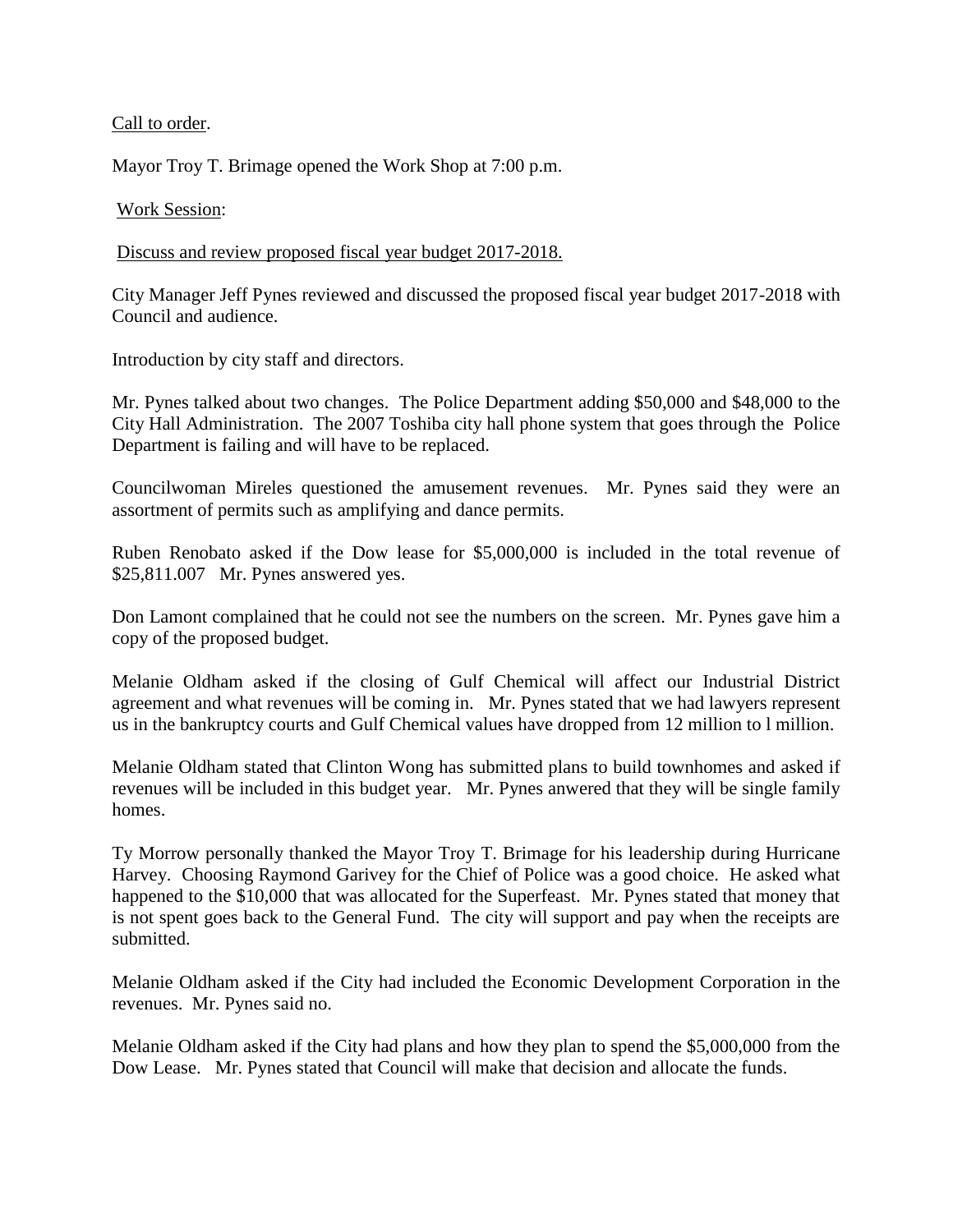## Call to order.

Mayor Troy T. Brimage opened the Work Shop at 7:00 p.m.

## Work Session:

Discuss and review proposed fiscal year budget 2017-2018.

City Manager Jeff Pynes reviewed and discussed the proposed fiscal year budget 2017-2018 with Council and audience.

Introduction by city staff and directors.

Mr. Pynes talked about two changes. The Police Department adding \$50,000 and \$48,000 to the City Hall Administration. The 2007 Toshiba city hall phone system that goes through the Police Department is failing and will have to be replaced.

Councilwoman Mireles questioned the amusement revenues. Mr. Pynes said they were an assortment of permits such as amplifying and dance permits.

Ruben Renobato asked if the Dow lease for \$5,000,000 is included in the total revenue of \$25,811.007 Mr. Pynes answered yes.

Don Lamont complained that he could not see the numbers on the screen. Mr. Pynes gave him a copy of the proposed budget.

Melanie Oldham asked if the closing of Gulf Chemical will affect our Industrial District agreement and what revenues will be coming in. Mr. Pynes stated that we had lawyers represent us in the bankruptcy courts and Gulf Chemical values have dropped from 12 million to l million.

Melanie Oldham stated that Clinton Wong has submitted plans to build townhomes and asked if revenues will be included in this budget year. Mr. Pynes anwered that they will be single family homes.

Ty Morrow personally thanked the Mayor Troy T. Brimage for his leadership during Hurricane Harvey. Choosing Raymond Garivey for the Chief of Police was a good choice. He asked what happened to the \$10,000 that was allocated for the Superfeast. Mr. Pynes stated that money that is not spent goes back to the General Fund. The city will support and pay when the receipts are submitted.

Melanie Oldham asked if the City had included the Economic Development Corporation in the revenues. Mr. Pynes said no.

Melanie Oldham asked if the City had plans and how they plan to spend the \$5,000,000 from the Dow Lease. Mr. Pynes stated that Council will make that decision and allocate the funds.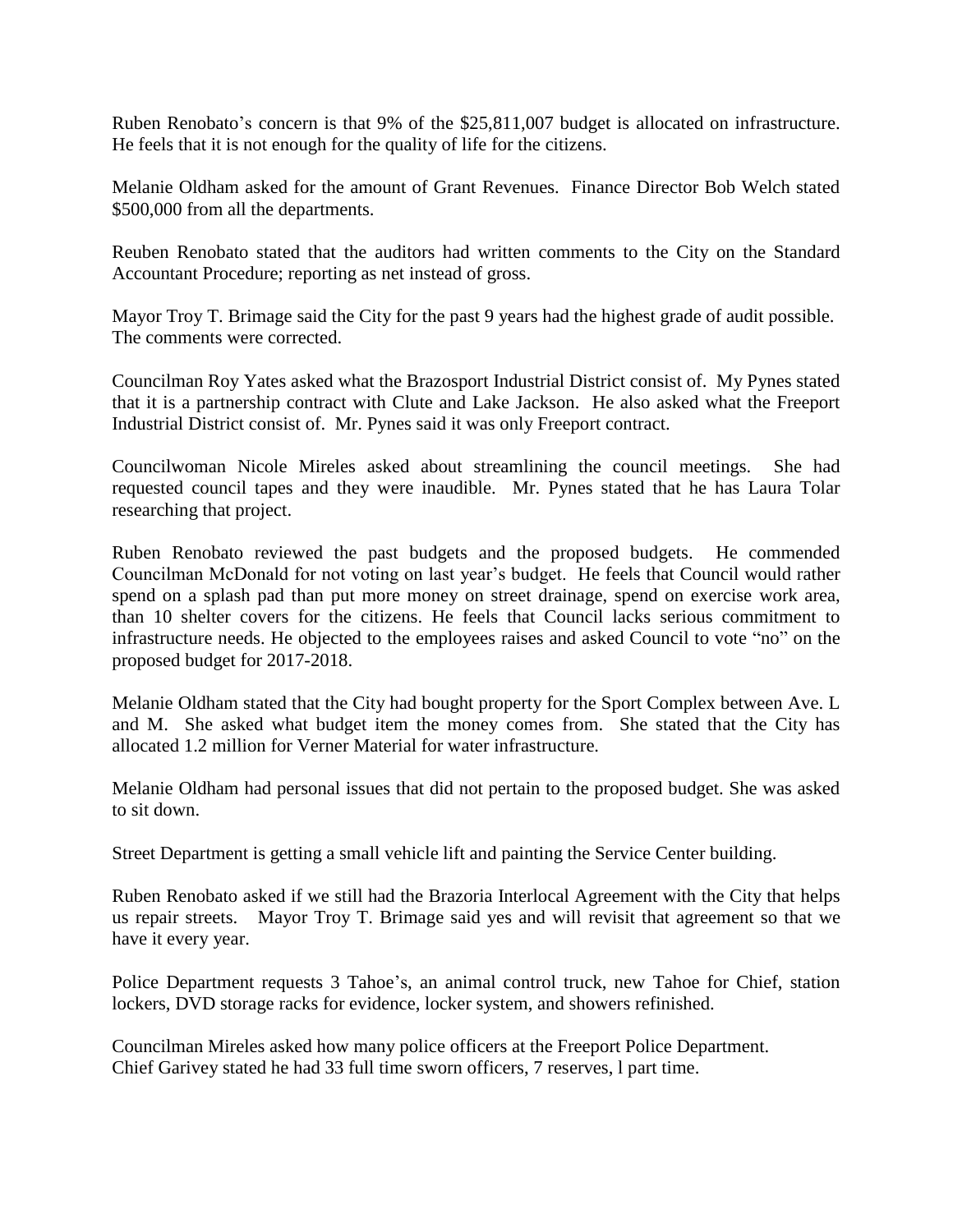Ruben Renobato's concern is that 9% of the \$25,811,007 budget is allocated on infrastructure. He feels that it is not enough for the quality of life for the citizens.

Melanie Oldham asked for the amount of Grant Revenues. Finance Director Bob Welch stated \$500,000 from all the departments.

Reuben Renobato stated that the auditors had written comments to the City on the Standard Accountant Procedure; reporting as net instead of gross.

Mayor Troy T. Brimage said the City for the past 9 years had the highest grade of audit possible. The comments were corrected.

Councilman Roy Yates asked what the Brazosport Industrial District consist of. My Pynes stated that it is a partnership contract with Clute and Lake Jackson. He also asked what the Freeport Industrial District consist of. Mr. Pynes said it was only Freeport contract.

Councilwoman Nicole Mireles asked about streamlining the council meetings. She had requested council tapes and they were inaudible. Mr. Pynes stated that he has Laura Tolar researching that project.

Ruben Renobato reviewed the past budgets and the proposed budgets. He commended Councilman McDonald for not voting on last year's budget. He feels that Council would rather spend on a splash pad than put more money on street drainage, spend on exercise work area, than 10 shelter covers for the citizens. He feels that Council lacks serious commitment to infrastructure needs. He objected to the employees raises and asked Council to vote "no" on the proposed budget for 2017-2018.

Melanie Oldham stated that the City had bought property for the Sport Complex between Ave. L and M. She asked what budget item the money comes from. She stated that the City has allocated 1.2 million for Verner Material for water infrastructure.

Melanie Oldham had personal issues that did not pertain to the proposed budget. She was asked to sit down.

Street Department is getting a small vehicle lift and painting the Service Center building.

Ruben Renobato asked if we still had the Brazoria Interlocal Agreement with the City that helps us repair streets. Mayor Troy T. Brimage said yes and will revisit that agreement so that we have it every year.

Police Department requests 3 Tahoe's, an animal control truck, new Tahoe for Chief, station lockers, DVD storage racks for evidence, locker system, and showers refinished.

Councilman Mireles asked how many police officers at the Freeport Police Department. Chief Garivey stated he had 33 full time sworn officers, 7 reserves, l part time.